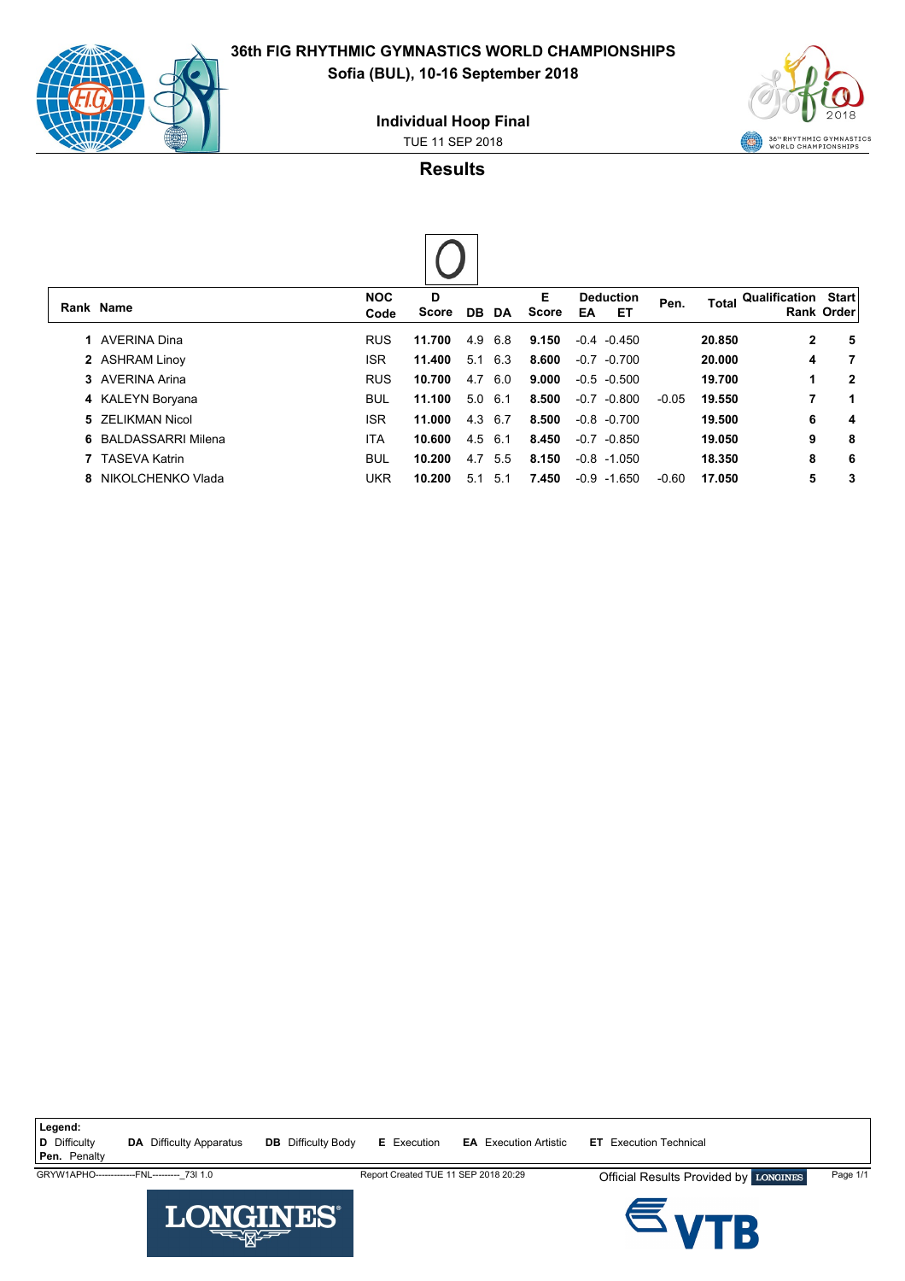



**Individual Hoop Final**

TUE 11 SEP 2018

**Results**

 $\overline{\phantom{a}}$ 

| Rank Name            | <b>NOC</b><br>Code | D<br>Score | DB DA          |     | Е<br>Score | EA     | <b>Deduction</b><br>EТ | Pen.    | Total  | Qualification | <b>Start</b><br>Rank Order |
|----------------------|--------------------|------------|----------------|-----|------------|--------|------------------------|---------|--------|---------------|----------------------------|
| 1 AVERINA Dina       | <b>RUS</b>         | 11.700     | 4.9            | 6.8 | 9.150      |        | $-0.4 - 0.450$         |         | 20.850 | $\mathbf{2}$  | 5                          |
| 2 ASHRAM Linoy       | <b>ISR</b>         | 11.400     | 5.1            | 6.3 | 8.600      |        | $-0.7 - 0.700$         |         | 20,000 | 4             | 7                          |
| 3 AVERINA Arina      | <b>RUS</b>         | 10.700     | 4.7            | 6.0 | 9.000      |        | $-0.5 - 0.500$         |         | 19.700 | 1             | $\mathbf{2}$               |
| 4 KALEYN Boryana     | <b>BUL</b>         | 11.100     | $5.0\quad 6.1$ |     | 8.500      |        | $-0.7 -0.800$          | $-0.05$ | 19.550 | 7             | 1                          |
| 5 ZELIKMAN Nicol     | <b>ISR</b>         | 11.000     | 4.3 6.7        |     | 8.500      |        | $-0.8 - 0.700$         |         | 19.500 | 6             | 4                          |
| 6 BALDASSARRI Milena | <b>ITA</b>         | 10.600     | 4.5            | 6.1 | 8.450      |        | $-0.7 -0.850$          |         | 19.050 | 9             | 8                          |
| 7 TASEVA Katrin      | <b>BUL</b>         | 10.200     | 4.7            | 5.5 | 8.150      |        | $-0.8 - 1.050$         |         | 18.350 | 8             | 6                          |
| 8 NIKOLCHENKO Vlada  | <b>UKR</b>         | 10.200     | 5.1            | 5.1 | 7.450      | $-0.9$ | $-1.650$               | $-0.60$ | 17.050 | 5             | 3                          |

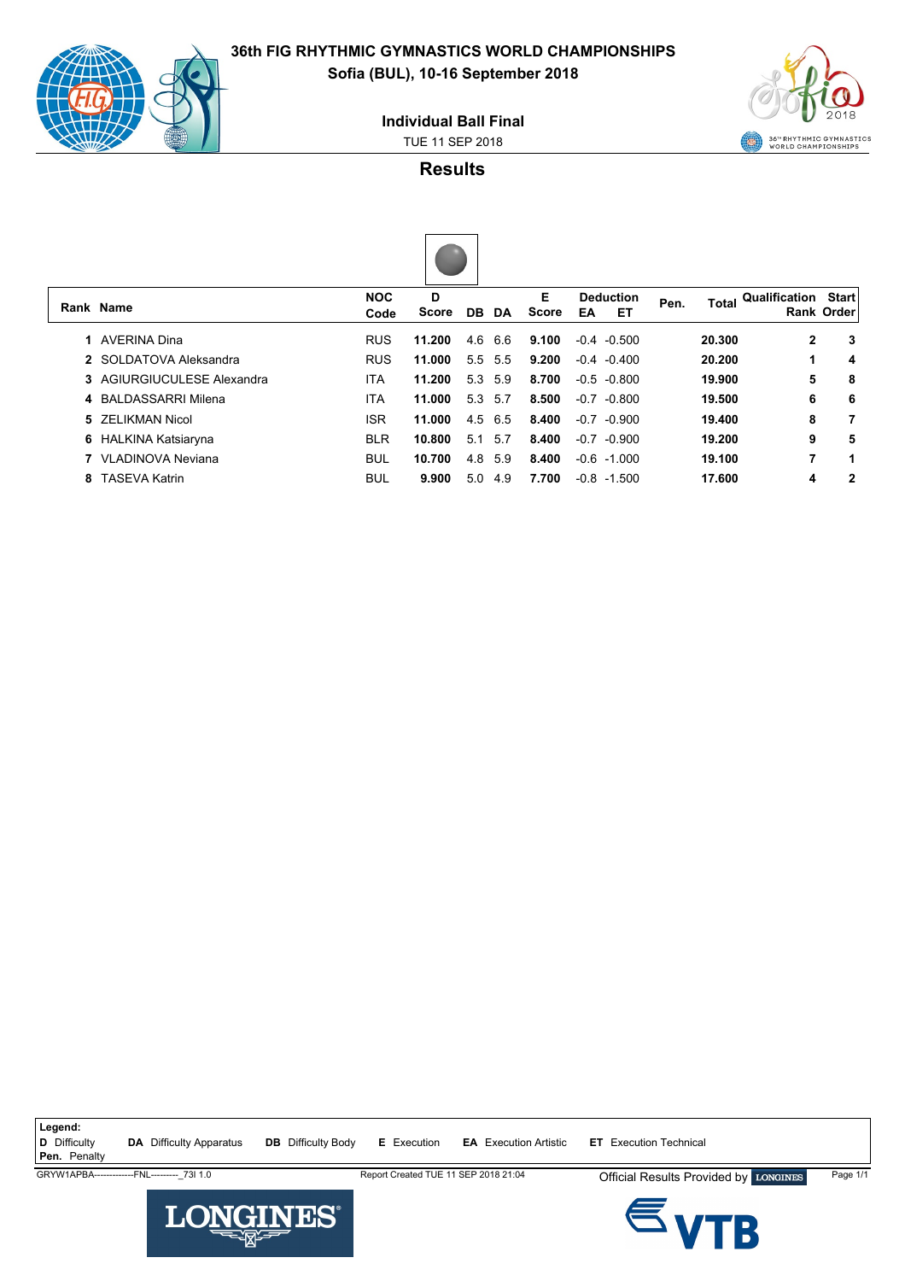

## **36th FIG RHYTHMIC GYMNASTICS WORLD CHAMPIONSHIPS Sofia (BUL), 10-16 September 2018**

**Individual Ball Final**

TUE 11 SEP 2018



**Results**



| Rank Name                  | <b>NOC</b><br>Code | D<br><b>Score</b> | DB. | DA  | Е<br>Score | EA     | <b>Deduction</b><br>EТ | Pen. |        | <b>Total Qualification</b> | <b>Start</b><br><b>Rank Order</b> |
|----------------------------|--------------------|-------------------|-----|-----|------------|--------|------------------------|------|--------|----------------------------|-----------------------------------|
| 1 AVERINA Dina             | <b>RUS</b>         | 11.200            | 4.6 | 6.6 | 9.100      |        | $-0.4 - 0.500$         |      | 20.300 | 2                          | 3                                 |
| 2 SOI DATOVA Aleksandra    | <b>RUS</b>         | 11.000            | 5.5 | 5.5 | 9.200      |        | $-0.4 - 0.400$         |      | 20.200 |                            | 4                                 |
| 3 AGIURGIUCULESE Alexandra | ITA                | 11.200            | 5.3 | 5.9 | 8.700      |        | $-0.5 - 0.800$         |      | 19.900 | 5                          | 8                                 |
| 4 BAI DASSARRI Milena      | <b>ITA</b>         | 11.000            | 5.3 | 5.7 | 8.500      |        | $-0.7 -0.800$          |      | 19.500 | 6                          | 6                                 |
| 5 ZELIKMAN Nicol           | <b>ISR</b>         | 11.000            | 4.5 | 6.5 | 8.400      | $-0.7$ | -0.900                 |      | 19.400 | 8                          | 7                                 |
| 6 HALKINA Katsiaryna       | <b>BLR</b>         | 10.800            | 5.1 | 5.7 | 8.400      | $-0.7$ | -0.900                 |      | 19.200 | 9                          | 5                                 |
| 7 VLADINOVA Neviana        | <b>BUL</b>         | 10.700            | 4.8 | 5.9 | 8.400      |        | $-0.6 - 1.000$         |      | 19.100 | 7                          | 1                                 |
| 8 TASEVA Katrin            | <b>BUL</b>         | 9.900             | 5.0 | 4.9 | 7.700      | $-0.8$ | $-1.500$               |      | 17.600 | 4                          | 2                                 |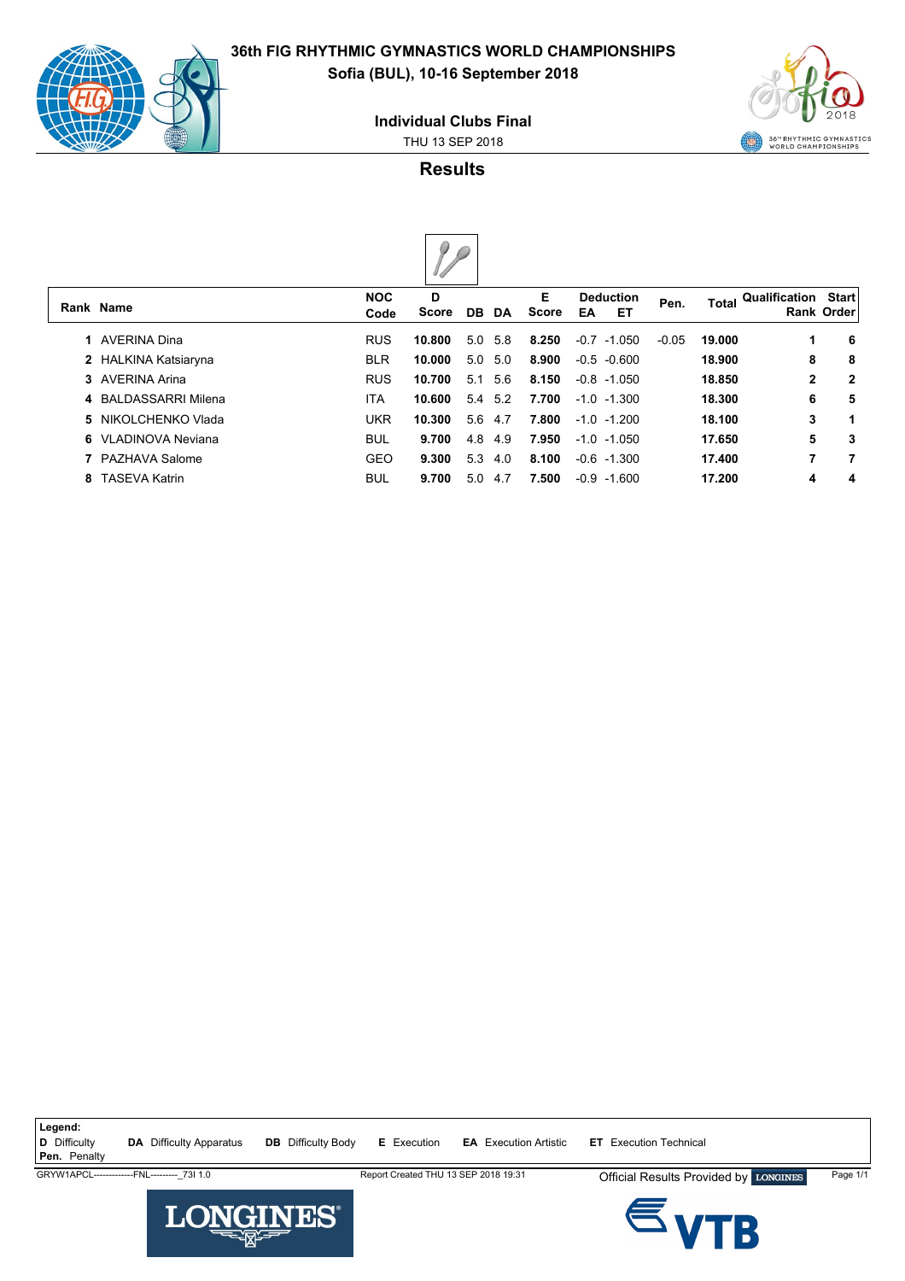

**Rank Name**

## **36th FIG RHYTHMIC GYMNASTICS WORLD CHAMPIONSHIPS Sofia (BUL), 10-16 September 2018**

**Individual Clubs Final**

THU 13 SEP 2018



**Results**

| k Name               | <b>NOC</b><br>Code | D<br>Score |     | DB DA          | Е<br>Score | EA | <b>Deduction</b><br>ET | Pen.    | Total  | Qualification | <b>Start</b><br><b>Rank Order</b> |
|----------------------|--------------------|------------|-----|----------------|------------|----|------------------------|---------|--------|---------------|-----------------------------------|
| 1 AVERINA Dina       | <b>RUS</b>         | 10.800     | 5.0 | 5.8            | 8.250      |    | $-0.7 -1.050$          | $-0.05$ | 19.000 | 1             | -6                                |
| 2 HALKINA Katsiaryna | <b>BLR</b>         | 10.000     |     | $5.0\quad 5.0$ | 8.900      |    | $-0.5 -0.600$          |         | 18.900 | 8             | -8                                |
| 3 AVERINA Arina      | <b>RUS</b>         | 10.700     | 5.1 | 5.6            | 8.150      |    | $-0.8$ $-1.050$        |         | 18.850 | $\mathbf{2}$  | $\overline{\mathbf{2}}$           |
| 4 BALDASSARRI Milena | ITA                | 10.600     |     | 5.4 5.2        | 7.700      |    | $-1.0 -1.300$          |         | 18.300 | 6             | 5                                 |
|                      |                    |            |     |                |            |    |                        |         |        |               |                                   |

| 5 NIKOLCHENKO Vlada | UKR  |               | 10.300 5.6 4.7 7.800 -1.0 -1.200              | 18.100 |   | - 1 |
|---------------------|------|---------------|-----------------------------------------------|--------|---|-----|
| 6 VLADINOVA Neviana | BUL. |               | <b>9.700</b> 4.8 4.9 <b>7.950</b> -1.0 -1.050 | 17.650 | 5 | - 3 |
| 7 PAZHAVA Salome    | GFO. |               | <b>9.300</b> 5.3 4.0 <b>8.100</b> -0.6 -1.300 | 17.400 |   |     |
| 8   TASEVA Katrin   | BUL  | 9.700 5.0 4.7 | <b>7.500 -</b> 0.9 -1.600                     | 17.200 |   | - 4 |

Legend:<br>**D** Difficulty **D** Difficulty **DA** Difficulty Apparatus **DB** Difficulty Body **E** Execution **EA** Execution Artistic **ET** Execution Technical **Pen.** Penalty GRYW1APCL-------------FNL-------------73I 1.0 Report Created THU 13 SEP 2018 19:31 Official Results Provided by LONGINES Page 1/1 Đł.